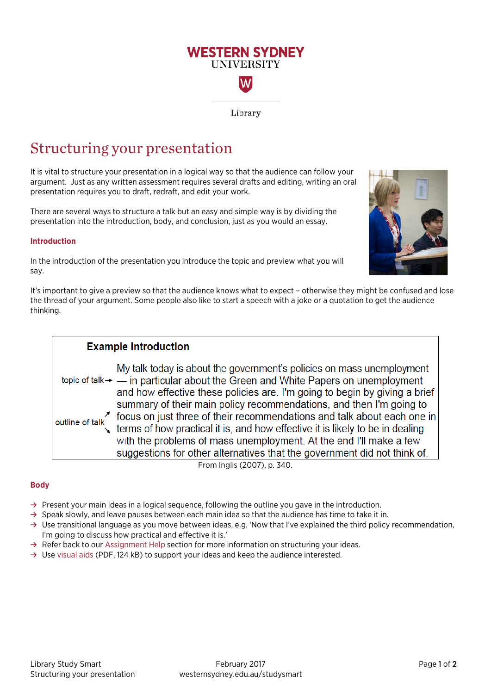# **WESTERN SYDNEY UNIVERSITY** W

Library

## Structuring your presentation

It is vital to structure your presentation in a logical way so that the audience can follow your argument. Just as any written assessment requires several drafts and editing, writing an oral presentation requires you to draft, redraft, and edit your work.

There are several ways to structure a talk but an easy and simple way is by dividing the presentation into the introduction, body, and conclusion, just as you would an essay.

### **Introduction**

In the introduction of the presentation you introduce the topic and preview what you will say.



It's important to give a preview so that the audience knows what to expect – otherwise they might be confused and lose the thread of your argument. Some people also like to start a speech with a joke or a quotation to get the audience thinking.

### **Example introduction** My talk today is about the government's policies on mass unemployment topic of talk  $\rightarrow$  - in particular about the Green and White Papers on unemployment and how effective these policies are. I'm going to begin by giving a brief summary of their main policy recommendations, and then I'm going to outline of talk about each one in<br>terms of how practical it is, and how effective it is likely to be in dealing with the problems of mass unemployment. At the end I'll make a few suggestions for other alternatives that the government did not think of. From Inglis (2007), p. 340.

### **Body**

- **→** Present your main ideas in a logical sequence, following the outline you gave in the introduction.
- **→** Speak slowly, and leave pauses between each main idea so that the audience has time to take it in.
- **→** Use transitional language as you move between ideas, e.g. 'Now that I've explained the third policy recommendation, I'm going to discuss how practical and effective it is.'
- **→** Refer back to our [Assignment Help](http://westernsydney.edu.au/studysmart/home/assignment_help) section for more information on structuring your ideas.
- **→** Use [visual aids \(](https://westernsydney.edu.au/__data/assets/pdf_file/0004/1082677/Presentations_-_using_visual_aids.pdf)PDF, 124 kB) to support your ideas and keep the audience interested.